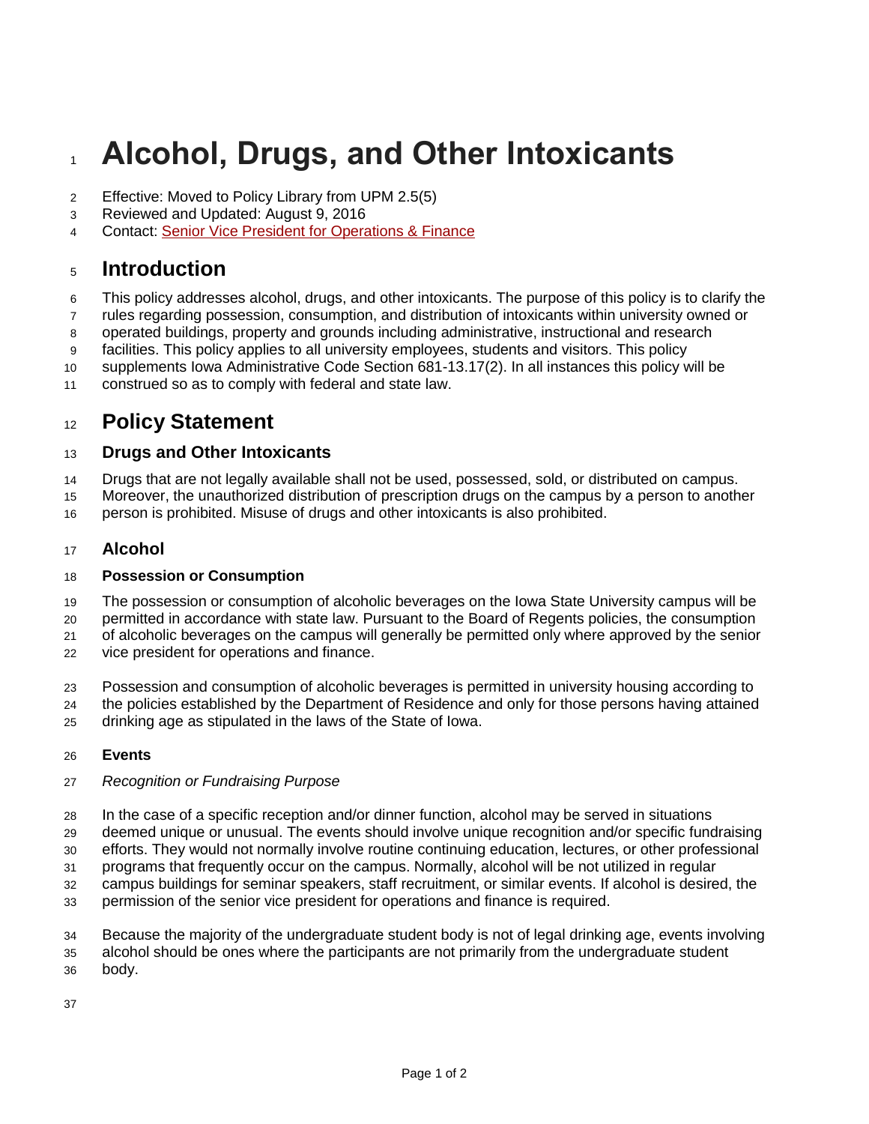# **Alcohol, Drugs, and Other Intoxicants**

- Effective: Moved to Policy Library from UPM 2.5(5)
- Reviewed and Updated: August 9, 2016
- Contact: Senior [Vice President for Operations & Finance](https://www.operationsfinance.iastate.edu/)

## **Introduction**

- This policy addresses alcohol, drugs, and other intoxicants. The purpose of this policy is to clarify the
- rules regarding possession, consumption, and distribution of intoxicants within university owned or
- operated buildings, property and grounds including administrative, instructional and research
- facilities. This policy applies to all university employees, students and visitors. This policy
- supplements Iowa Administrative Code Section 681-13.17(2). In all instances this policy will be
- construed so as to comply with federal and state law.

## **Policy Statement**

#### **Drugs and Other Intoxicants**

- Drugs that are not legally available shall not be used, possessed, sold, or distributed on campus.
- Moreover, the unauthorized distribution of prescription drugs on the campus by a person to another person is prohibited. Misuse of drugs and other intoxicants is also prohibited.

### **Alcohol**

#### **Possession or Consumption**

- The possession or consumption of alcoholic beverages on the Iowa State University campus will be
- permitted in accordance with state law. Pursuant to the Board of Regents policies, the consumption
- of alcoholic beverages on the campus will generally be permitted only where approved by the senior
- vice president for operations and finance.
- Possession and consumption of alcoholic beverages is permitted in university housing according to the policies established by the Department of Residence and only for those persons having attained drinking age as stipulated in the laws of the State of Iowa.

#### **Events**

#### *Recognition or Fundraising Purpose*

- In the case of a specific reception and/or dinner function, alcohol may be served in situations
- deemed unique or unusual. The events should involve unique recognition and/or specific fundraising
- efforts. They would not normally involve routine continuing education, lectures, or other professional
- programs that frequently occur on the campus. Normally, alcohol will be not utilized in regular
- campus buildings for seminar speakers, staff recruitment, or similar events. If alcohol is desired, the
- permission of the senior vice president for operations and finance is required.
- Because the majority of the undergraduate student body is not of legal drinking age, events involving
- alcohol should be ones where the participants are not primarily from the undergraduate student
- body.